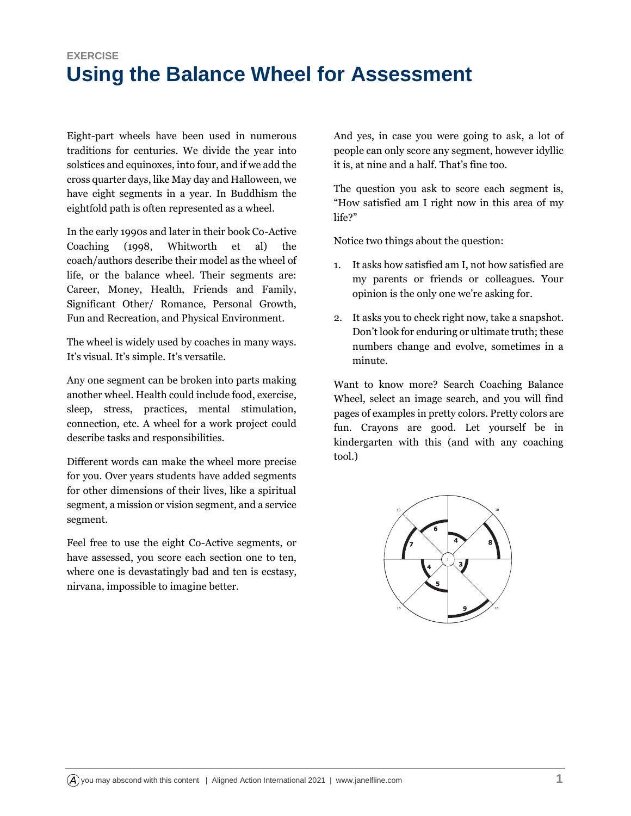## **EXERCISE Using the Balance Wheel for Assessment**

Eight-part wheels have been used in numerous traditions for centuries. We divide the year into solstices and equinoxes, into four, and if we add the cross quarter days, like May day and Halloween, we have eight segments in a year. In Buddhism the eightfold path is often represented as a wheel.

In the early 1990s and later in their book Co-Active Coaching (1998, Whitworth et al) the coach/authors describe their model as the wheel of life, or the balance wheel. Their segments are: Career, Money, Health, Friends and Family, Significant Other/ Romance, Personal Growth, Fun and Recreation, and Physical Environment.

The wheel is widely used by coaches in many ways. It's visual. It's simple. It's versatile.

Any one segment can be broken into parts making another wheel. Health could include food, exercise, sleep, stress, practices, mental stimulation, connection, etc. A wheel for a work project could describe tasks and responsibilities.

Different words can make the wheel more precise for you. Over years students have added segments for other dimensions of their lives, like a spiritual segment, a mission or vision segment, and a service segment.

Feel free to use the eight Co-Active segments, or have assessed, you score each section one to ten, where one is devastatingly bad and ten is ecstasy, nirvana, impossible to imagine better.

And yes, in case you were going to ask, a lot of people can only score any segment, however idyllic it is, at nine and a half. That's fine too.

The question you ask to score each segment is, "How satisfied am I right now in this area of my life?"

Notice two things about the question:

- 1. It asks how satisfied am I, not how satisfied are my parents or friends or colleagues. Your opinion is the only one we're asking for.
- 2. It asks you to check right now, take a snapshot. Don't look for enduring or ultimate truth; these numbers change and evolve, sometimes in a minute.

Want to know more? Search Coaching Balance Wheel, select an image search, and you will find pages of examples in pretty colors. Pretty colors are fun. Crayons are good. Let yourself be in kindergarten with this (and with any coaching tool.)